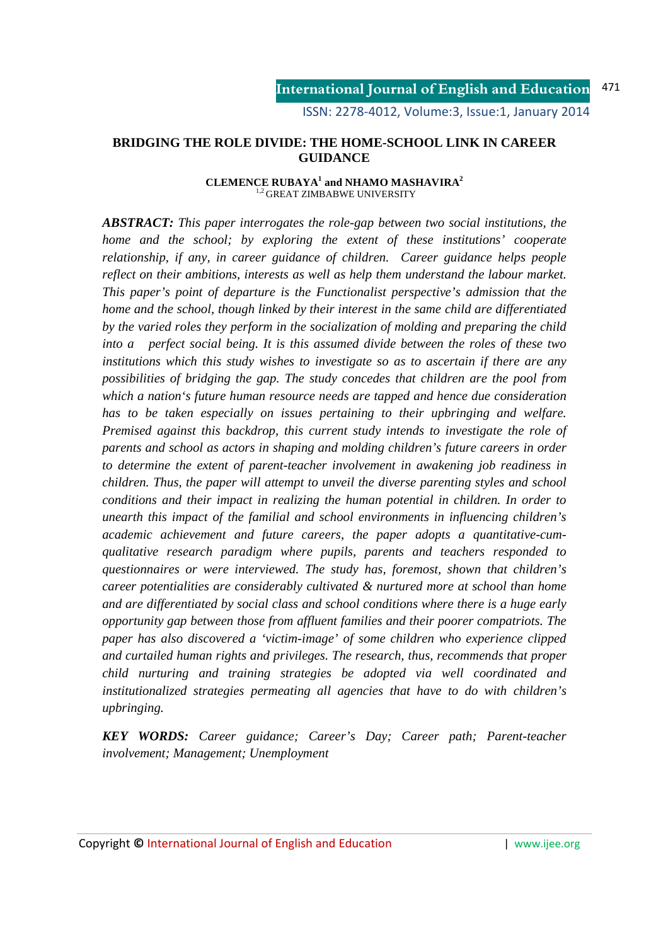ISSN: 2278-4012, Volume:3, Issue:1, January 2014

### **BRIDGING THE ROLE DIVIDE: THE HOME-SCHOOL LINK IN CAREER GUIDANCE**

#### **CLEMENCE RUBAYA<sup>1</sup> and NHAMO MASHAVIRA<sup>2</sup>** <sup>1,2</sup> GREAT ZIMBABWE UNIVERSITY

*ABSTRACT: This paper interrogates the role-gap between two social institutions, the home and the school; by exploring the extent of these institutions' cooperate relationship, if any, in career guidance of children. Career guidance helps people reflect on their ambitions, interests as well as help them understand the labour market. This paper's point of departure is the Functionalist perspective's admission that the home and the school, though linked by their interest in the same child are differentiated by the varied roles they perform in the socialization of molding and preparing the child into a perfect social being. It is this assumed divide between the roles of these two institutions which this study wishes to investigate so as to ascertain if there are any possibilities of bridging the gap. The study concedes that children are the pool from which a nation's future human resource needs are tapped and hence due consideration has to be taken especially on issues pertaining to their upbringing and welfare. Premised against this backdrop, this current study intends to investigate the role of parents and school as actors in shaping and molding children's future careers in order to determine the extent of parent-teacher involvement in awakening job readiness in children. Thus, the paper will attempt to unveil the diverse parenting styles and school conditions and their impact in realizing the human potential in children. In order to unearth this impact of the familial and school environments in influencing children's academic achievement and future careers, the paper adopts a quantitative-cumqualitative research paradigm where pupils, parents and teachers responded to questionnaires or were interviewed. The study has, foremost, shown that children's career potentialities are considerably cultivated & nurtured more at school than home and are differentiated by social class and school conditions where there is a huge early opportunity gap between those from affluent families and their poorer compatriots. The paper has also discovered a 'victim-image' of some children who experience clipped and curtailed human rights and privileges. The research, thus, recommends that proper child nurturing and training strategies be adopted via well coordinated and institutionalized strategies permeating all agencies that have to do with children's upbringing.*

*KEY WORDS: Career guidance; Career's Day; Career path; Parent-teacher involvement; Management; Unemployment*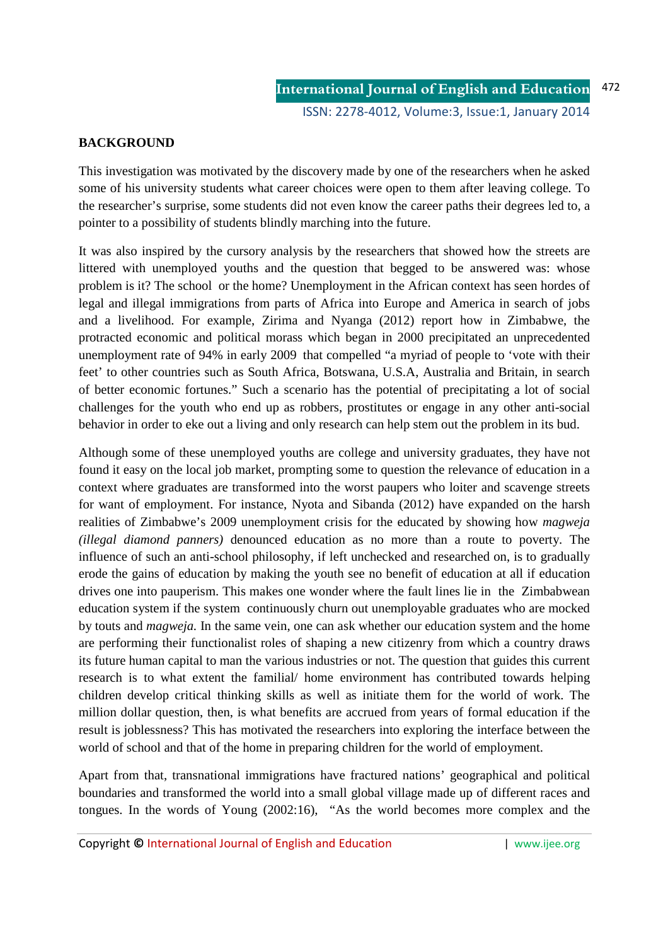# **BACKGROUND**

This investigation was motivated by the discovery made by one of the researchers when he asked some of his university students what career choices were open to them after leaving college. To the researcher's surprise, some students did not even know the career paths their degrees led to, a pointer to a possibility of students blindly marching into the future.

It was also inspired by the cursory analysis by the researchers that showed how the streets are littered with unemployed youths and the question that begged to be answered was: whose problem is it? The school or the home? Unemployment in the African context has seen hordes of legal and illegal immigrations from parts of Africa into Europe and America in search of jobs and a livelihood. For example, Zirima and Nyanga (2012) report how in Zimbabwe, the protracted economic and political morass which began in 2000 precipitated an unprecedented unemployment rate of 94% in early 2009 that compelled "a myriad of people to 'vote with their feet' to other countries such as South Africa, Botswana, U.S.A, Australia and Britain, in search of better economic fortunes." Such a scenario has the potential of precipitating a lot of social challenges for the youth who end up as robbers, prostitutes or engage in any other anti-social behavior in order to eke out a living and only research can help stem out the problem in its bud.

Although some of these unemployed youths are college and university graduates, they have not found it easy on the local job market, prompting some to question the relevance of education in a context where graduates are transformed into the worst paupers who loiter and scavenge streets for want of employment. For instance, Nyota and Sibanda (2012) have expanded on the harsh realities of Zimbabwe's 2009 unemployment crisis for the educated by showing how *magweja (illegal diamond panners)* denounced education as no more than a route to poverty. The influence of such an anti-school philosophy, if left unchecked and researched on, is to gradually erode the gains of education by making the youth see no benefit of education at all if education drives one into pauperism. This makes one wonder where the fault lines lie in the Zimbabwean education system if the system continuously churn out unemployable graduates who are mocked by touts and *magweja.* In the same vein, one can ask whether our education system and the home are performing their functionalist roles of shaping a new citizenry from which a country draws its future human capital to man the various industries or not. The question that guides this current research is to what extent the familial/ home environment has contributed towards helping children develop critical thinking skills as well as initiate them for the world of work. The million dollar question, then, is what benefits are accrued from years of formal education if the result is joblessness? This has motivated the researchers into exploring the interface between the world of school and that of the home in preparing children for the world of employment.

Apart from that, transnational immigrations have fractured nations' geographical and political boundaries and transformed the world into a small global village made up of different races and tongues. In the words of Young (2002:16), "As the world becomes more complex and the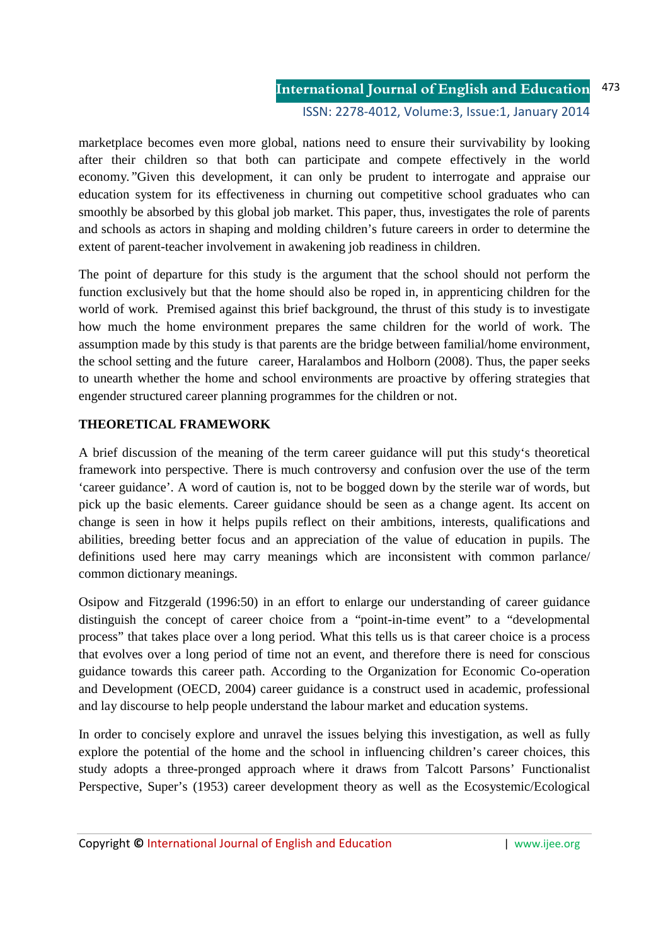#### **International Journal of English and Education** ISSN: 2278-4012, Volume:3, Issue:1, January 2014 473

marketplace becomes even more global, nations need to ensure their survivability by looking after their children so that both can participate and compete effectively in the world economy*."*Given this development, it can only be prudent to interrogate and appraise our education system for its effectiveness in churning out competitive school graduates who can smoothly be absorbed by this global job market. This paper, thus, investigates the role of parents and schools as actors in shaping and molding children's future careers in order to determine the extent of parent-teacher involvement in awakening job readiness in children.

The point of departure for this study is the argument that the school should not perform the function exclusively but that the home should also be roped in, in apprenticing children for the world of work. Premised against this brief background, the thrust of this study is to investigate how much the home environment prepares the same children for the world of work. The assumption made by this study is that parents are the bridge between familial/home environment, the school setting and the future career, Haralambos and Holborn (2008). Thus, the paper seeks to unearth whether the home and school environments are proactive by offering strategies that engender structured career planning programmes for the children or not.

# **THEORETICAL FRAMEWORK**

A brief discussion of the meaning of the term career guidance will put this study's theoretical framework into perspective. There is much controversy and confusion over the use of the term 'career guidance'. A word of caution is, not to be bogged down by the sterile war of words, but pick up the basic elements. Career guidance should be seen as a change agent. Its accent on change is seen in how it helps pupils reflect on their ambitions, interests, qualifications and abilities, breeding better focus and an appreciation of the value of education in pupils. The definitions used here may carry meanings which are inconsistent with common parlance/ common dictionary meanings.

Osipow and Fitzgerald (1996:50) in an effort to enlarge our understanding of career guidance distinguish the concept of career choice from a "point-in-time event" to a "developmental process" that takes place over a long period. What this tells us is that career choice is a process that evolves over a long period of time not an event, and therefore there is need for conscious guidance towards this career path. According to the Organization for Economic Co-operation and Development (OECD, 2004) career guidance is a construct used in academic, professional and lay discourse to help people understand the labour market and education systems.

In order to concisely explore and unravel the issues belying this investigation, as well as fully explore the potential of the home and the school in influencing children's career choices, this study adopts a three-pronged approach where it draws from Talcott Parsons' Functionalist Perspective, Super's (1953) career development theory as well as the Ecosystemic/Ecological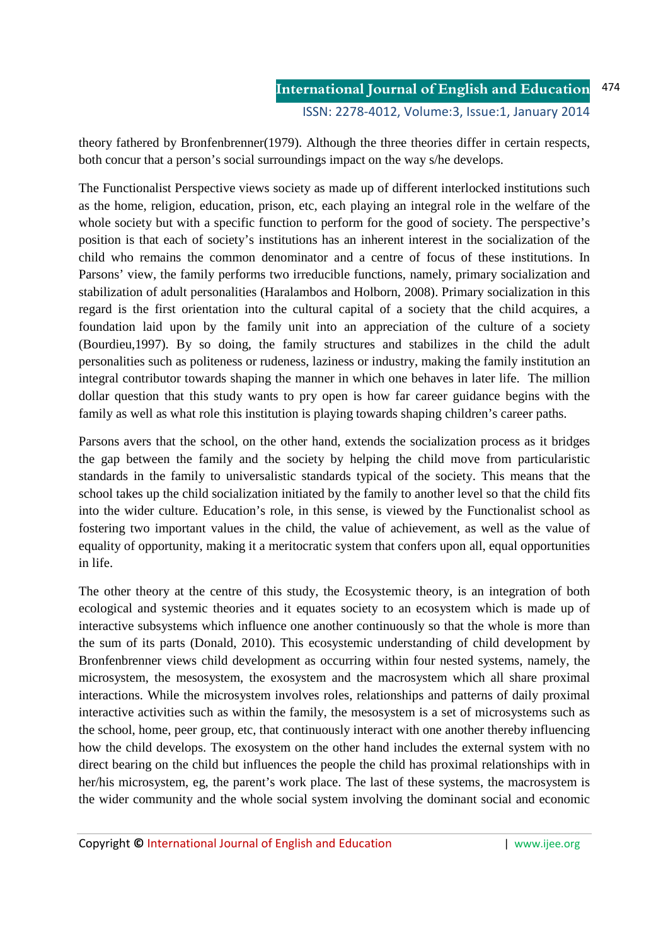theory fathered by Bronfenbrenner(1979). Although the three theories differ in certain respects, both concur that a person's social surroundings impact on the way s/he develops.

The Functionalist Perspective views society as made up of different interlocked institutions such as the home, religion, education, prison, etc, each playing an integral role in the welfare of the whole society but with a specific function to perform for the good of society. The perspective's position is that each of society's institutions has an inherent interest in the socialization of the child who remains the common denominator and a centre of focus of these institutions. In Parsons' view, the family performs two irreducible functions, namely, primary socialization and stabilization of adult personalities (Haralambos and Holborn, 2008). Primary socialization in this regard is the first orientation into the cultural capital of a society that the child acquires, a foundation laid upon by the family unit into an appreciation of the culture of a society (Bourdieu,1997). By so doing, the family structures and stabilizes in the child the adult personalities such as politeness or rudeness, laziness or industry, making the family institution an integral contributor towards shaping the manner in which one behaves in later life. The million dollar question that this study wants to pry open is how far career guidance begins with the family as well as what role this institution is playing towards shaping children's career paths.

Parsons avers that the school, on the other hand, extends the socialization process as it bridges the gap between the family and the society by helping the child move from particularistic standards in the family to universalistic standards typical of the society. This means that the school takes up the child socialization initiated by the family to another level so that the child fits into the wider culture. Education's role, in this sense, is viewed by the Functionalist school as fostering two important values in the child, the value of achievement, as well as the value of equality of opportunity, making it a meritocratic system that confers upon all, equal opportunities in life.

The other theory at the centre of this study, the Ecosystemic theory, is an integration of both ecological and systemic theories and it equates society to an ecosystem which is made up of interactive subsystems which influence one another continuously so that the whole is more than the sum of its parts (Donald, 2010). This ecosystemic understanding of child development by Bronfenbrenner views child development as occurring within four nested systems, namely, the microsystem, the mesosystem, the exosystem and the macrosystem which all share proximal interactions. While the microsystem involves roles, relationships and patterns of daily proximal interactive activities such as within the family, the mesosystem is a set of microsystems such as the school, home, peer group, etc, that continuously interact with one another thereby influencing how the child develops. The exosystem on the other hand includes the external system with no direct bearing on the child but influences the people the child has proximal relationships with in her/his microsystem, eg, the parent's work place. The last of these systems, the macrosystem is the wider community and the whole social system involving the dominant social and economic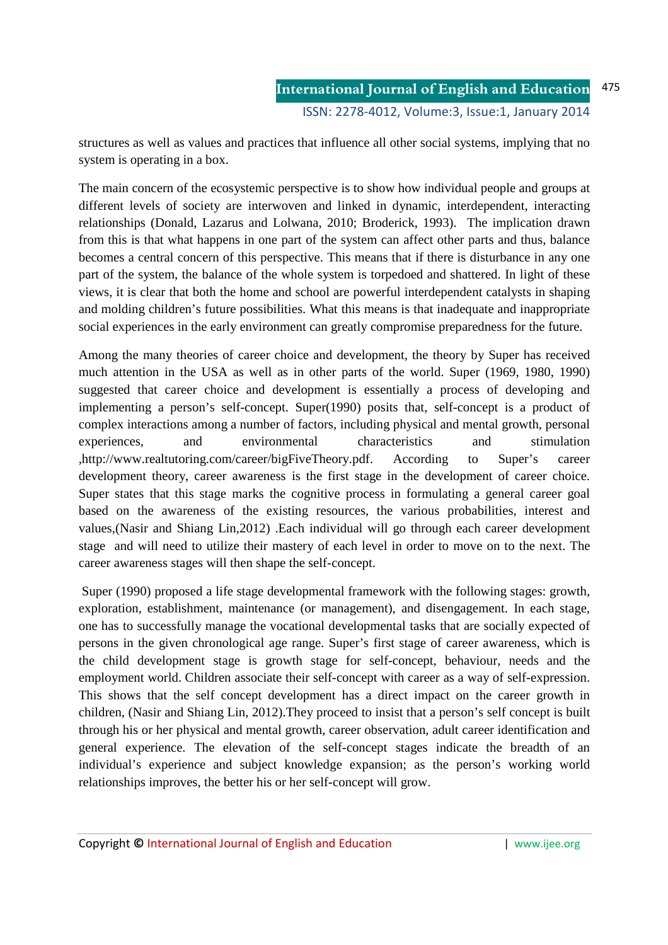structures as well as values and practices that influence all other social systems, implying that no system is operating in a box.

The main concern of the ecosystemic perspective is to show how individual people and groups at different levels of society are interwoven and linked in dynamic, interdependent, interacting relationships (Donald, Lazarus and Lolwana, 2010; Broderick, 1993). The implication drawn from this is that what happens in one part of the system can affect other parts and thus, balance becomes a central concern of this perspective. This means that if there is disturbance in any one part of the system, the balance of the whole system is torpedoed and shattered. In light of these views, it is clear that both the home and school are powerful interdependent catalysts in shaping and molding children's future possibilities. What this means is that inadequate and inappropriate social experiences in the early environment can greatly compromise preparedness for the future.

Among the many theories of career choice and development, the theory by Super has received much attention in the USA as well as in other parts of the world. Super (1969, 1980, 1990) suggested that career choice and development is essentially a process of developing and implementing a person's self-concept. Super(1990) posits that, self-concept is a product of complex interactions among a number of factors, including physical and mental growth, personal experiences, and environmental characteristics and stimulation ,http://www.realtutoring.com/career/bigFiveTheory.pdf. According to Super's career development theory, career awareness is the first stage in the development of career choice. Super states that this stage marks the cognitive process in formulating a general career goal based on the awareness of the existing resources, the various probabilities, interest and values,(Nasir and Shiang Lin,2012) .Each individual will go through each career development stage and will need to utilize their mastery of each level in order to move on to the next. The career awareness stages will then shape the self-concept.

 Super (1990) proposed a life stage developmental framework with the following stages: growth, exploration, establishment, maintenance (or management), and disengagement. In each stage, one has to successfully manage the vocational developmental tasks that are socially expected of persons in the given chronological age range. Super's first stage of career awareness, which is the child development stage is growth stage for self-concept, behaviour, needs and the employment world. Children associate their self-concept with career as a way of self-expression. This shows that the self concept development has a direct impact on the career growth in children, (Nasir and Shiang Lin, 2012).They proceed to insist that a person's self concept is built through his or her physical and mental growth, career observation, adult career identification and general experience. The elevation of the self-concept stages indicate the breadth of an individual's experience and subject knowledge expansion; as the person's working world relationships improves, the better his or her self-concept will grow.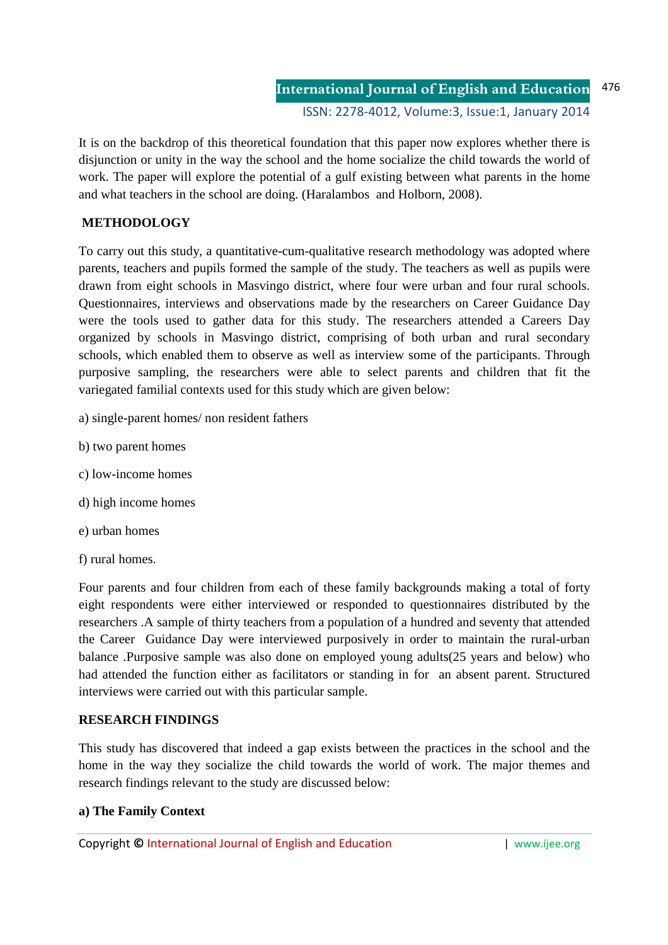It is on the backdrop of this theoretical foundation that this paper now explores whether there is disjunction or unity in the way the school and the home socialize the child towards the world of work. The paper will explore the potential of a gulf existing between what parents in the home and what teachers in the school are doing. (Haralambos and Holborn, 2008).

# **METHODOLOGY**

To carry out this study, a quantitative-cum-qualitative research methodology was adopted where parents, teachers and pupils formed the sample of the study. The teachers as well as pupils were drawn from eight schools in Masvingo district, where four were urban and four rural schools. Questionnaires, interviews and observations made by the researchers on Career Guidance Day were the tools used to gather data for this study. The researchers attended a Careers Day organized by schools in Masvingo district, comprising of both urban and rural secondary schools, which enabled them to observe as well as interview some of the participants. Through purposive sampling, the researchers were able to select parents and children that fit the variegated familial contexts used for this study which are given below:

- a) single-parent homes/ non resident fathers
- b) two parent homes
- c) low-income homes
- d) high income homes
- e) urban homes
- f) rural homes.

Four parents and four children from each of these family backgrounds making a total of forty eight respondents were either interviewed or responded to questionnaires distributed by the researchers .A sample of thirty teachers from a population of a hundred and seventy that attended the Career Guidance Day were interviewed purposively in order to maintain the rural-urban balance .Purposive sample was also done on employed young adults(25 years and below) who had attended the function either as facilitators or standing in for an absent parent. Structured interviews were carried out with this particular sample.

# **RESEARCH FINDINGS**

This study has discovered that indeed a gap exists between the practices in the school and the home in the way they socialize the child towards the world of work. The major themes and research findings relevant to the study are discussed below:

## **a) The Family Context**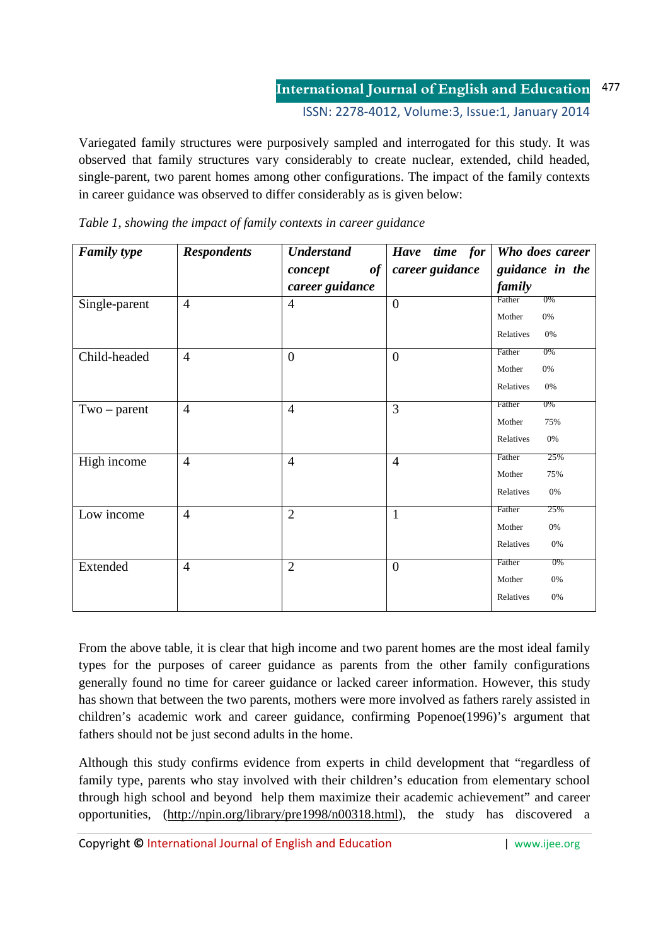ISSN: 2278-4012, Volume:3, Issue:1, January 2014

Variegated family structures were purposively sampled and interrogated for this study. It was observed that family structures vary considerably to create nuclear, extended, child headed, single-parent, two parent homes among other configurations. The impact of the family contexts in career guidance was observed to differ considerably as is given below:

| <b>Family type</b> | <b>Respondents</b> | <b>Understand</b> | Have time for   | Who does career |
|--------------------|--------------------|-------------------|-----------------|-----------------|
|                    |                    | of<br>concept     | career guidance | guidance in the |
|                    |                    | career guidance   |                 | family          |
| Single-parent      | $\overline{4}$     | $\overline{4}$    | $\overline{0}$  | 0%<br>Father    |
|                    |                    |                   |                 | 0%<br>Mother    |
|                    |                    |                   |                 | Relatives<br>0% |
| Child-headed       | $\overline{4}$     | $\overline{0}$    | $\overline{0}$  | Father<br>$0\%$ |
|                    |                    |                   |                 | 0%<br>Mother    |
|                    |                    |                   |                 | Relatives<br>0% |
| $Two-parent$       | $\overline{4}$     | $\overline{4}$    | 3               | $0\%$<br>Father |
|                    |                    |                   |                 | Mother<br>75%   |
|                    |                    |                   |                 | Relatives<br>0% |
| High income        | $\overline{4}$     | $\overline{4}$    | $\overline{4}$  | 25%<br>Father   |
|                    |                    |                   |                 | 75%<br>Mother   |
|                    |                    |                   |                 | Relatives<br>0% |
| Low income         | $\overline{4}$     | $\overline{2}$    | $\mathbf{1}$    | 25%<br>Father   |
|                    |                    |                   |                 | Mother<br>0%    |
|                    |                    |                   |                 | Relatives<br>0% |
| Extended           | $\overline{4}$     | $\overline{2}$    | $\overline{0}$  | Father<br>0%    |
|                    |                    |                   |                 | Mother<br>0%    |
|                    |                    |                   |                 | Relatives<br>0% |

*Table 1, showing the impact of family contexts in career guidance* 

From the above table, it is clear that high income and two parent homes are the most ideal family types for the purposes of career guidance as parents from the other family configurations generally found no time for career guidance or lacked career information. However, this study has shown that between the two parents, mothers were more involved as fathers rarely assisted in children's academic work and career guidance, confirming Popenoe(1996)'s argument that fathers should not be just second adults in the home.

Although this study confirms evidence from experts in child development that "regardless of family type, parents who stay involved with their children's education from elementary school through high school and beyond help them maximize their academic achievement" and career opportunities, (http://npin.org/library/pre1998/n00318.html), the study has discovered a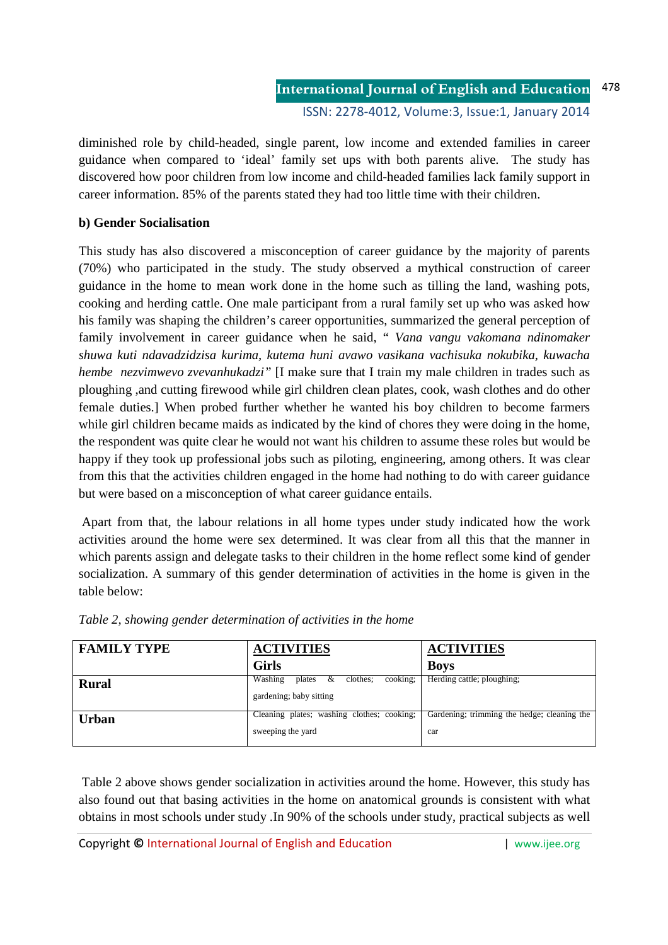diminished role by child-headed, single parent, low income and extended families in career guidance when compared to 'ideal' family set ups with both parents alive. The study has discovered how poor children from low income and child-headed families lack family support in career information. 85% of the parents stated they had too little time with their children.

# **b) Gender Socialisation**

This study has also discovered a misconception of career guidance by the majority of parents (70%) who participated in the study. The study observed a mythical construction of career guidance in the home to mean work done in the home such as tilling the land, washing pots, cooking and herding cattle. One male participant from a rural family set up who was asked how his family was shaping the children's career opportunities, summarized the general perception of family involvement in career guidance when he said, " *Vana vangu vakomana ndinomaker shuwa kuti ndavadzidzisa kurima, kutema huni avawo vasikana vachisuka nokubika, kuwacha hembe nezvimwevo zvevanhukadzi"* [I make sure that I train my male children in trades such as ploughing ,and cutting firewood while girl children clean plates, cook, wash clothes and do other female duties.] When probed further whether he wanted his boy children to become farmers while girl children became maids as indicated by the kind of chores they were doing in the home, the respondent was quite clear he would not want his children to assume these roles but would be happy if they took up professional jobs such as piloting, engineering, among others. It was clear from this that the activities children engaged in the home had nothing to do with career guidance but were based on a misconception of what career guidance entails.

 Apart from that, the labour relations in all home types under study indicated how the work activities around the home were sex determined. It was clear from all this that the manner in which parents assign and delegate tasks to their children in the home reflect some kind of gender socialization. A summary of this gender determination of activities in the home is given in the table below:

| <b>FAMILY TYPE</b> | <b>ACTIVITIES</b>                                                         | <b>ACTIVITIES</b>                                  |  |
|--------------------|---------------------------------------------------------------------------|----------------------------------------------------|--|
|                    | <b>Girls</b>                                                              | <b>Boys</b>                                        |  |
| <b>Rural</b>       | $\&$ clothes;<br>Washing<br>cooking:<br>plates<br>gardening; baby sitting | Herding cattle; ploughing;                         |  |
| <b>Urban</b>       | Cleaning plates; washing clothes; cooking;<br>sweeping the yard           | Gardening; trimming the hedge; cleaning the<br>car |  |

|  | Table 2, showing gender determination of activities in the home |  |  |
|--|-----------------------------------------------------------------|--|--|
|  |                                                                 |  |  |

 Table 2 above shows gender socialization in activities around the home. However, this study has also found out that basing activities in the home on anatomical grounds is consistent with what obtains in most schools under study .In 90% of the schools under study, practical subjects as well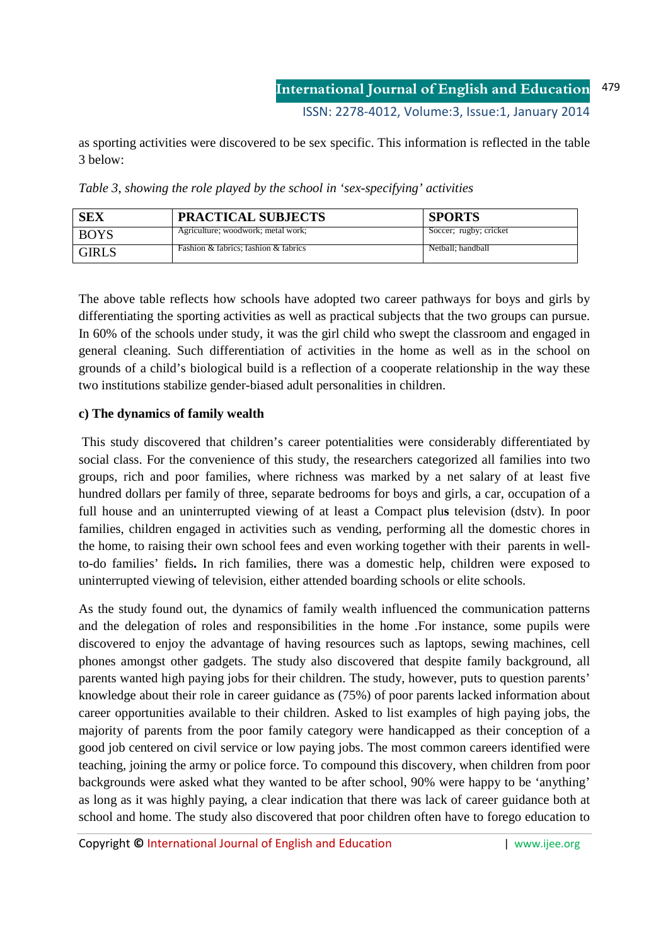as sporting activities were discovered to be sex specific. This information is reflected in the table 3 below:

| <b>SEX</b>   | <b>PRACTICAL SUBJECTS</b>            | <b>SPORTS</b>          |
|--------------|--------------------------------------|------------------------|
| <b>BOYS</b>  | Agriculture; woodwork; metal work;   | Soccer; rugby; cricket |
| <b>GIRLS</b> | Fashion & fabrics: fashion & fabrics | Netball: handball      |

*Table 3, showing the role played by the school in 'sex-specifying' activities* 

The above table reflects how schools have adopted two career pathways for boys and girls by differentiating the sporting activities as well as practical subjects that the two groups can pursue. In 60% of the schools under study, it was the girl child who swept the classroom and engaged in general cleaning. Such differentiation of activities in the home as well as in the school on grounds of a child's biological build is a reflection of a cooperate relationship in the way these two institutions stabilize gender-biased adult personalities in children.

# **c) The dynamics of family wealth**

 This study discovered that children's career potentialities were considerably differentiated by social class. For the convenience of this study, the researchers categorized all families into two groups, rich and poor families, where richness was marked by a net salary of at least five hundred dollars per family of three, separate bedrooms for boys and girls, a car, occupation of a full house and an uninterrupted viewing of at least a Compact plu**s** television (dstv). In poor families, children engaged in activities such as vending, performing all the domestic chores in the home, to raising their own school fees and even working together with their parents in wellto-do families' fields**.** In rich families, there was a domestic help, children were exposed to uninterrupted viewing of television, either attended boarding schools or elite schools.

As the study found out, the dynamics of family wealth influenced the communication patterns and the delegation of roles and responsibilities in the home .For instance, some pupils were discovered to enjoy the advantage of having resources such as laptops, sewing machines, cell phones amongst other gadgets. The study also discovered that despite family background, all parents wanted high paying jobs for their children. The study, however, puts to question parents' knowledge about their role in career guidance as (75%) of poor parents lacked information about career opportunities available to their children. Asked to list examples of high paying jobs, the majority of parents from the poor family category were handicapped as their conception of a good job centered on civil service or low paying jobs. The most common careers identified were teaching, joining the army or police force. To compound this discovery, when children from poor backgrounds were asked what they wanted to be after school, 90% were happy to be 'anything' as long as it was highly paying, a clear indication that there was lack of career guidance both at school and home. The study also discovered that poor children often have to forego education to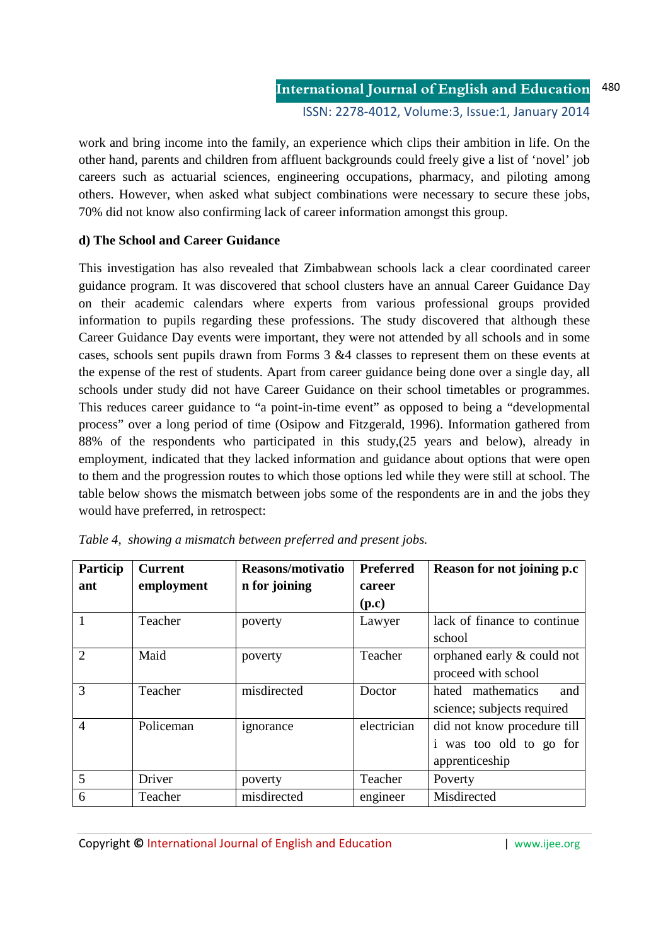work and bring income into the family, an experience which clips their ambition in life. On the other hand, parents and children from affluent backgrounds could freely give a list of 'novel' job careers such as actuarial sciences, engineering occupations, pharmacy, and piloting among others. However, when asked what subject combinations were necessary to secure these jobs, 70% did not know also confirming lack of career information amongst this group.

# **d) The School and Career Guidance**

This investigation has also revealed that Zimbabwean schools lack a clear coordinated career guidance program. It was discovered that school clusters have an annual Career Guidance Day on their academic calendars where experts from various professional groups provided information to pupils regarding these professions. The study discovered that although these Career Guidance Day events were important, they were not attended by all schools and in some cases, schools sent pupils drawn from Forms  $3 \& 4$  classes to represent them on these events at the expense of the rest of students. Apart from career guidance being done over a single day, all schools under study did not have Career Guidance on their school timetables or programmes. This reduces career guidance to "a point-in-time event" as opposed to being a "developmental process" over a long period of time (Osipow and Fitzgerald, 1996). Information gathered from 88% of the respondents who participated in this study,(25 years and below), already in employment, indicated that they lacked information and guidance about options that were open to them and the progression routes to which those options led while they were still at school. The table below shows the mismatch between jobs some of the respondents are in and the jobs they would have preferred, in retrospect:

| Particip                    | <b>Current</b> | Reasons/motivatio | <b>Preferred</b> | Reason for not joining p.c  |
|-----------------------------|----------------|-------------------|------------------|-----------------------------|
| ant                         | employment     | n for joining     | career           |                             |
|                             |                |                   | (p.c)            |                             |
|                             | Teacher        | poverty           | Lawyer           | lack of finance to continue |
|                             |                |                   |                  | school                      |
| $\mathcal{D}_{\mathcal{L}}$ | Maid           | poverty           | Teacher          | orphaned early & could not  |
|                             |                |                   |                  | proceed with school         |
| 3                           | Teacher        | misdirected       | Doctor           | hated mathematics<br>and    |
|                             |                |                   |                  | science; subjects required  |
| $\overline{4}$              | Policeman      | ignorance         | electrician      | did not know procedure till |
|                             |                |                   |                  | was too old to go for       |
|                             |                |                   |                  | apprenticeship              |
| 5                           | Driver         | poverty           | Teacher          | Poverty                     |
| 6                           | Teacher        | misdirected       | engineer         | Misdirected                 |

*Table 4, showing a mismatch between preferred and present jobs.*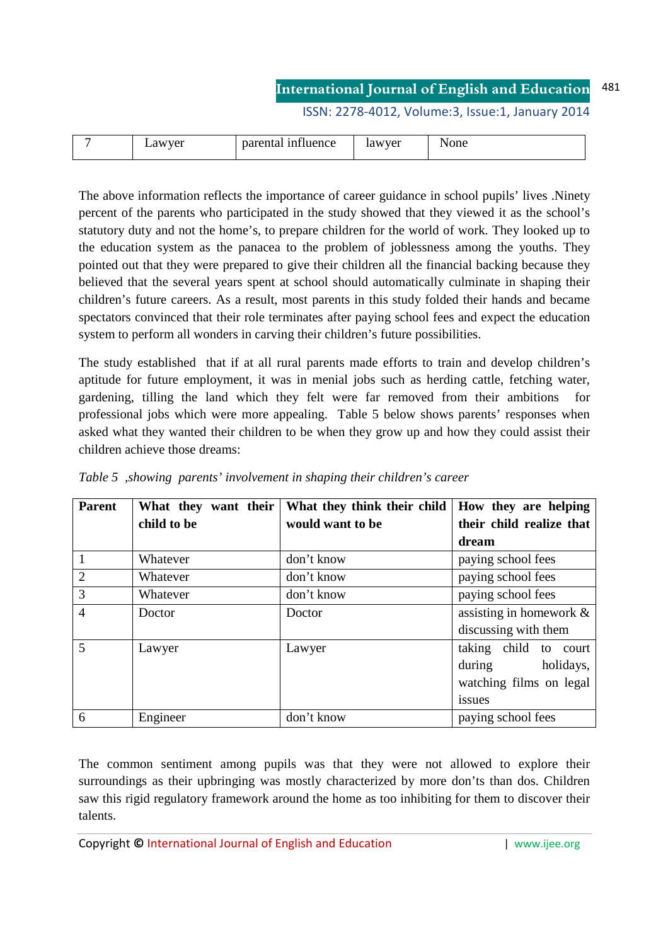ISSN: 2278-4012, Volume:3, Issue:1, January 2014

|  | <br>VΡ<br>14<br>$\sim$ | $\sim$<br>$\alpha$<br><u>IIIIIuence</u><br>лна<br>Da. | vyer<br>.aw<br> | --<br><b>OHt</b><br>---- |
|--|------------------------|-------------------------------------------------------|-----------------|--------------------------|
|--|------------------------|-------------------------------------------------------|-----------------|--------------------------|

The above information reflects the importance of career guidance in school pupils' lives .Ninety percent of the parents who participated in the study showed that they viewed it as the school's statutory duty and not the home's, to prepare children for the world of work. They looked up to the education system as the panacea to the problem of joblessness among the youths. They pointed out that they were prepared to give their children all the financial backing because they believed that the several years spent at school should automatically culminate in shaping their children's future careers. As a result, most parents in this study folded their hands and became spectators convinced that their role terminates after paying school fees and expect the education system to perform all wonders in carving their children's future possibilities.

The study established that if at all rural parents made efforts to train and develop children's aptitude for future employment, it was in menial jobs such as herding cattle, fetching water, gardening, tilling the land which they felt were far removed from their ambitions professional jobs which were more appealing. Table 5 below shows parents' responses when asked what they wanted their children to be when they grow up and how they could assist their children achieve those dreams:

| <b>Parent</b>  | What they want their | What they think their child | How they are helping       |
|----------------|----------------------|-----------------------------|----------------------------|
|                | child to be          | would want to be            | their child realize that   |
|                |                      |                             | dream                      |
| $\mathbf{1}$   | Whatever             | don't know                  | paying school fees         |
| 2              | Whatever             | don't know                  | paying school fees         |
| $\overline{3}$ | Whatever             | don't know                  | paying school fees         |
| $\overline{4}$ | Doctor               | Doctor                      | assisting in homework $\&$ |
|                |                      |                             | discussing with them       |
| 5              | Lawyer               | Lawyer                      | taking child to court      |
|                |                      |                             | holidays,<br>during        |
|                |                      |                             | watching films on legal    |
|                |                      |                             | issues                     |
| 6              | Engineer             | don't know                  | paying school fees         |

*Table 5 ,showing parents' involvement in shaping their children's career* 

The common sentiment among pupils was that they were not allowed to explore their surroundings as their upbringing was mostly characterized by more don'ts than dos. Children saw this rigid regulatory framework around the home as too inhibiting for them to discover their talents.

Copyright **©** International Journal of English and Education | www.ijee.org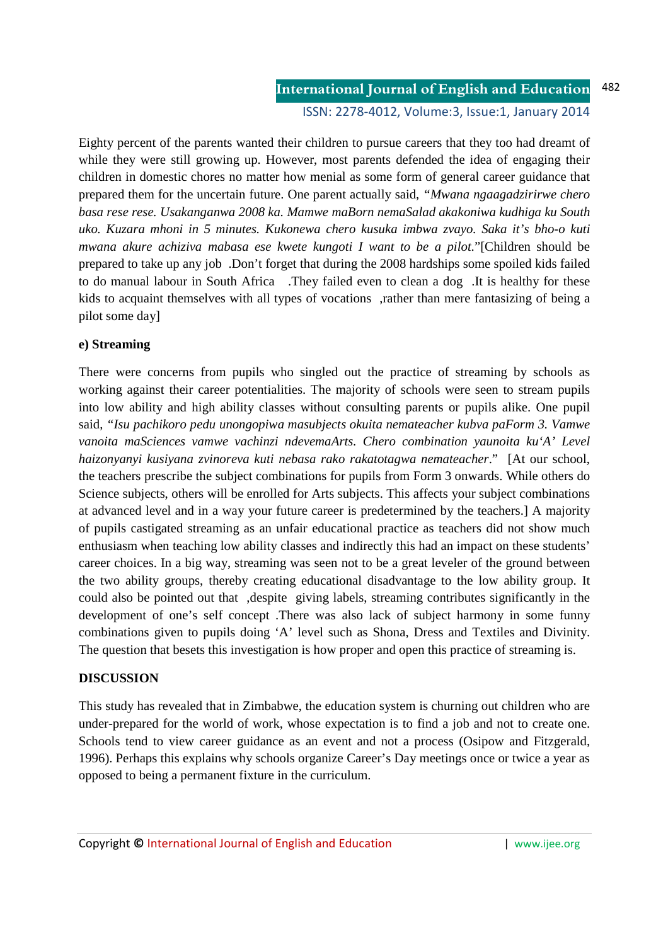ISSN: 2278-4012, Volume:3, Issue:1, January 2014

Eighty percent of the parents wanted their children to pursue careers that they too had dreamt of while they were still growing up. However, most parents defended the idea of engaging their children in domestic chores no matter how menial as some form of general career guidance that prepared them for the uncertain future. One parent actually said, *"Mwana ngaagadzirirwe chero basa rese rese. Usakanganwa 2008 ka. Mamwe maBorn nemaSalad akakoniwa kudhiga ku South uko. Kuzara mhoni in 5 minutes. Kukonewa chero kusuka imbwa zvayo. Saka it's bho-o kuti mwana akure achiziva mabasa ese kwete kungoti I want to be a pilot.*"[Children should be prepared to take up any job .Don't forget that during the 2008 hardships some spoiled kids failed to do manual labour in South Africa .They failed even to clean a dog .It is healthy for these kids to acquaint themselves with all types of vocations ,rather than mere fantasizing of being a pilot some day]

### **e) Streaming**

There were concerns from pupils who singled out the practice of streaming by schools as working against their career potentialities. The majority of schools were seen to stream pupils into low ability and high ability classes without consulting parents or pupils alike. One pupil said, *"Isu pachikoro pedu unongopiwa masubjects okuita nemateacher kubva paForm 3. Vamwe vanoita maSciences vamwe vachinzi ndevemaArts. Chero combination yaunoita ku'A' Level haizonyanyi kusiyana zvinoreva kuti nebasa rako rakatotagwa nemateacher*." [At our school, the teachers prescribe the subject combinations for pupils from Form 3 onwards. While others do Science subjects, others will be enrolled for Arts subjects. This affects your subject combinations at advanced level and in a way your future career is predetermined by the teachers.] A majority of pupils castigated streaming as an unfair educational practice as teachers did not show much enthusiasm when teaching low ability classes and indirectly this had an impact on these students' career choices. In a big way, streaming was seen not to be a great leveler of the ground between the two ability groups, thereby creating educational disadvantage to the low ability group. It could also be pointed out that ,despite giving labels, streaming contributes significantly in the development of one's self concept .There was also lack of subject harmony in some funny combinations given to pupils doing 'A' level such as Shona, Dress and Textiles and Divinity. The question that besets this investigation is how proper and open this practice of streaming is.

### **DISCUSSION**

This study has revealed that in Zimbabwe, the education system is churning out children who are under-prepared for the world of work, whose expectation is to find a job and not to create one. Schools tend to view career guidance as an event and not a process (Osipow and Fitzgerald, 1996). Perhaps this explains why schools organize Career's Day meetings once or twice a year as opposed to being a permanent fixture in the curriculum.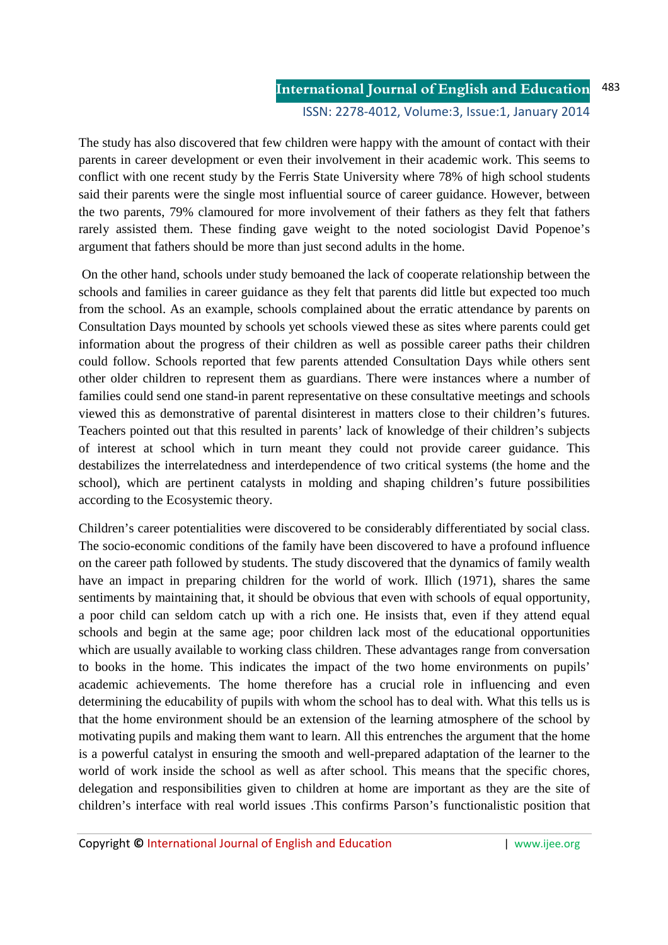The study has also discovered that few children were happy with the amount of contact with their parents in career development or even their involvement in their academic work. This seems to conflict with one recent study by the Ferris State University where 78% of high school students said their parents were the single most influential source of career guidance. However, between the two parents, 79% clamoured for more involvement of their fathers as they felt that fathers rarely assisted them. These finding gave weight to the noted sociologist David Popenoe's argument that fathers should be more than just second adults in the home.

 On the other hand, schools under study bemoaned the lack of cooperate relationship between the schools and families in career guidance as they felt that parents did little but expected too much from the school. As an example, schools complained about the erratic attendance by parents on Consultation Days mounted by schools yet schools viewed these as sites where parents could get information about the progress of their children as well as possible career paths their children could follow. Schools reported that few parents attended Consultation Days while others sent other older children to represent them as guardians. There were instances where a number of families could send one stand-in parent representative on these consultative meetings and schools viewed this as demonstrative of parental disinterest in matters close to their children's futures. Teachers pointed out that this resulted in parents' lack of knowledge of their children's subjects of interest at school which in turn meant they could not provide career guidance. This destabilizes the interrelatedness and interdependence of two critical systems (the home and the school), which are pertinent catalysts in molding and shaping children's future possibilities according to the Ecosystemic theory.

Children's career potentialities were discovered to be considerably differentiated by social class. The socio-economic conditions of the family have been discovered to have a profound influence on the career path followed by students. The study discovered that the dynamics of family wealth have an impact in preparing children for the world of work. Illich (1971), shares the same sentiments by maintaining that, it should be obvious that even with schools of equal opportunity, a poor child can seldom catch up with a rich one. He insists that, even if they attend equal schools and begin at the same age; poor children lack most of the educational opportunities which are usually available to working class children. These advantages range from conversation to books in the home. This indicates the impact of the two home environments on pupils' academic achievements. The home therefore has a crucial role in influencing and even determining the educability of pupils with whom the school has to deal with. What this tells us is that the home environment should be an extension of the learning atmosphere of the school by motivating pupils and making them want to learn. All this entrenches the argument that the home is a powerful catalyst in ensuring the smooth and well-prepared adaptation of the learner to the world of work inside the school as well as after school. This means that the specific chores, delegation and responsibilities given to children at home are important as they are the site of children's interface with real world issues .This confirms Parson's functionalistic position that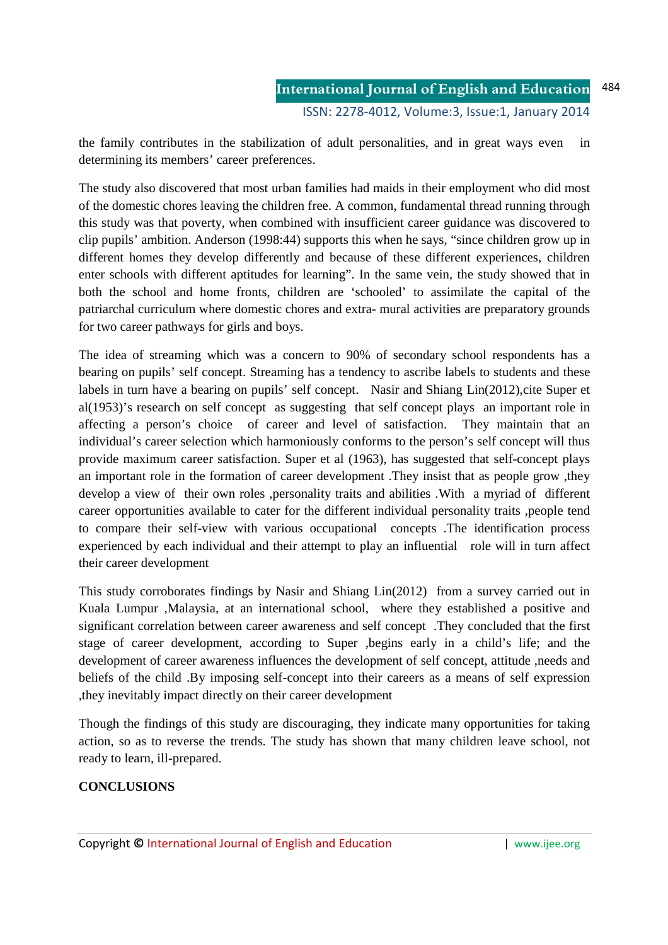the family contributes in the stabilization of adult personalities, and in great ways even in determining its members' career preferences.

The study also discovered that most urban families had maids in their employment who did most of the domestic chores leaving the children free. A common, fundamental thread running through this study was that poverty, when combined with insufficient career guidance was discovered to clip pupils' ambition. Anderson (1998:44) supports this when he says, "since children grow up in different homes they develop differently and because of these different experiences, children enter schools with different aptitudes for learning". In the same vein, the study showed that in both the school and home fronts, children are 'schooled' to assimilate the capital of the patriarchal curriculum where domestic chores and extra- mural activities are preparatory grounds for two career pathways for girls and boys.

The idea of streaming which was a concern to 90% of secondary school respondents has a bearing on pupils' self concept. Streaming has a tendency to ascribe labels to students and these labels in turn have a bearing on pupils' self concept. Nasir and Shiang Lin(2012),cite Super et al(1953)'s research on self concept as suggesting that self concept plays an important role in affecting a person's choice of career and level of satisfaction. They maintain that an individual's career selection which harmoniously conforms to the person's self concept will thus provide maximum career satisfaction. Super et al (1963), has suggested that self-concept plays an important role in the formation of career development .They insist that as people grow ,they develop a view of their own roles ,personality traits and abilities .With a myriad of different career opportunities available to cater for the different individual personality traits ,people tend to compare their self-view with various occupational concepts .The identification process experienced by each individual and their attempt to play an influential role will in turn affect their career development

This study corroborates findings by Nasir and Shiang Lin(2012) from a survey carried out in Kuala Lumpur ,Malaysia, at an international school, where they established a positive and significant correlation between career awareness and self concept .They concluded that the first stage of career development, according to Super ,begins early in a child's life; and the development of career awareness influences the development of self concept, attitude ,needs and beliefs of the child .By imposing self-concept into their careers as a means of self expression ,they inevitably impact directly on their career development

Though the findings of this study are discouraging, they indicate many opportunities for taking action, so as to reverse the trends. The study has shown that many children leave school, not ready to learn, ill-prepared.

## **CONCLUSIONS**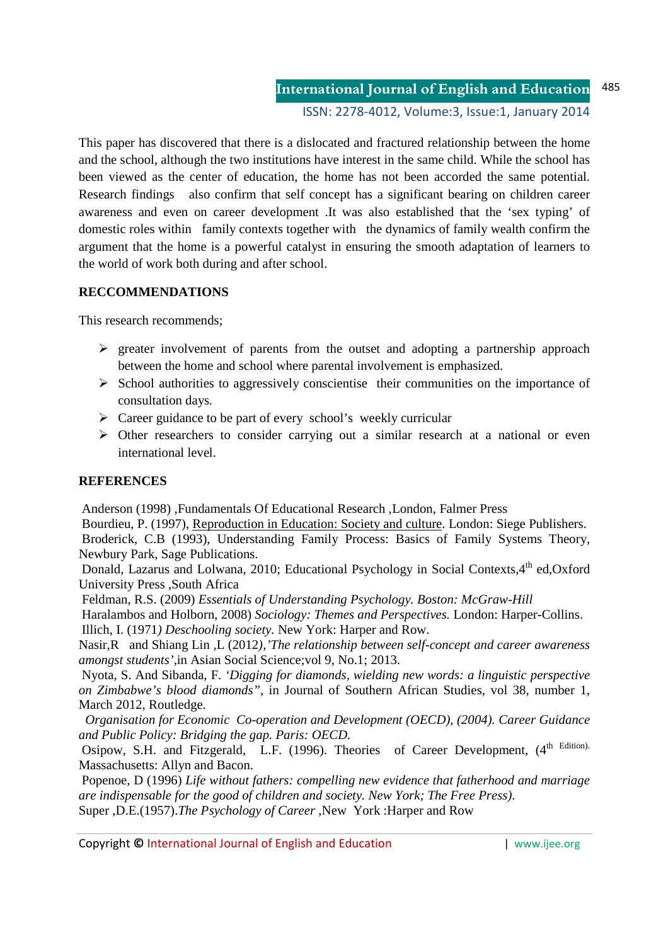This paper has discovered that there is a dislocated and fractured relationship between the home and the school, although the two institutions have interest in the same child. While the school has been viewed as the center of education, the home has not been accorded the same potential. Research findings also confirm that self concept has a significant bearing on children career awareness and even on career development .It was also established that the 'sex typing' of domestic roles within family contexts together with the dynamics of family wealth confirm the argument that the home is a powerful catalyst in ensuring the smooth adaptation of learners to the world of work both during and after school.

## **RECCOMMENDATIONS**

This research recommends;

- $\triangleright$  greater involvement of parents from the outset and adopting a partnership approach between the home and school where parental involvement is emphasized.
- $\triangleright$  School authorities to aggressively conscientise their communities on the importance of consultation days.
- $\triangleright$  Career guidance to be part of every school's weekly curricular
- $\triangleright$  Other researchers to consider carrying out a similar research at a national or even international level.

### **REFERENCES**

Anderson (1998) ,Fundamentals Of Educational Research ,London, Falmer Press

 Bourdieu, P. (1997), Reproduction in Education: Society and culture. London: Siege Publishers. Broderick, C.B (1993), Understanding Family Process: Basics of Family Systems Theory, Newbury Park, Sage Publications.

Donald, Lazarus and Lolwana, 2010; Educational Psychology in Social Contexts, 4<sup>th</sup> ed, Oxford University Press ,South Africa

Feldman, R.S. (2009) *Essentials of Understanding Psychology. Boston: McGraw-Hill* 

 Haralambos and Holborn, 2008) *Sociology: Themes and Perspectives.* London: Harper-Collins. Illich, I. (1971*) Deschooling society.* New York: Harper and Row.

Nasir,R and Shiang Lin ,L (2012*),'The relationship between self-concept and career awareness amongst students',*in Asian Social Science;vol 9, No.1; 2013.

 Nyota, S. And Sibanda, F. *'Digging for diamonds, wielding new words: a linguistic perspective on Zimbabwe's blood diamonds"*, in Journal of Southern African Studies, vol 38, number 1, March 2012, Routledge.

 *Organisation for Economic Co-operation and Development (OECD), (2004). Career Guidance and Public Policy: Bridging the gap. Paris: OECD.*

Osipow, S.H. and Fitzgerald, L.F. (1996). Theories of Career Development, (4<sup>th Edition).</sup> Massachusetts: Allyn and Bacon.

 Popenoe, D (1996) *Life without fathers: compelling new evidence that fatherhood and marriage are indispensable for the good of children and society. New York; The Free Press)*. Super ,D.E.(1957).*The Psychology of Career* ,New York :Harper and Row

Copyright © International Journal of English and Education | www.ijee.org